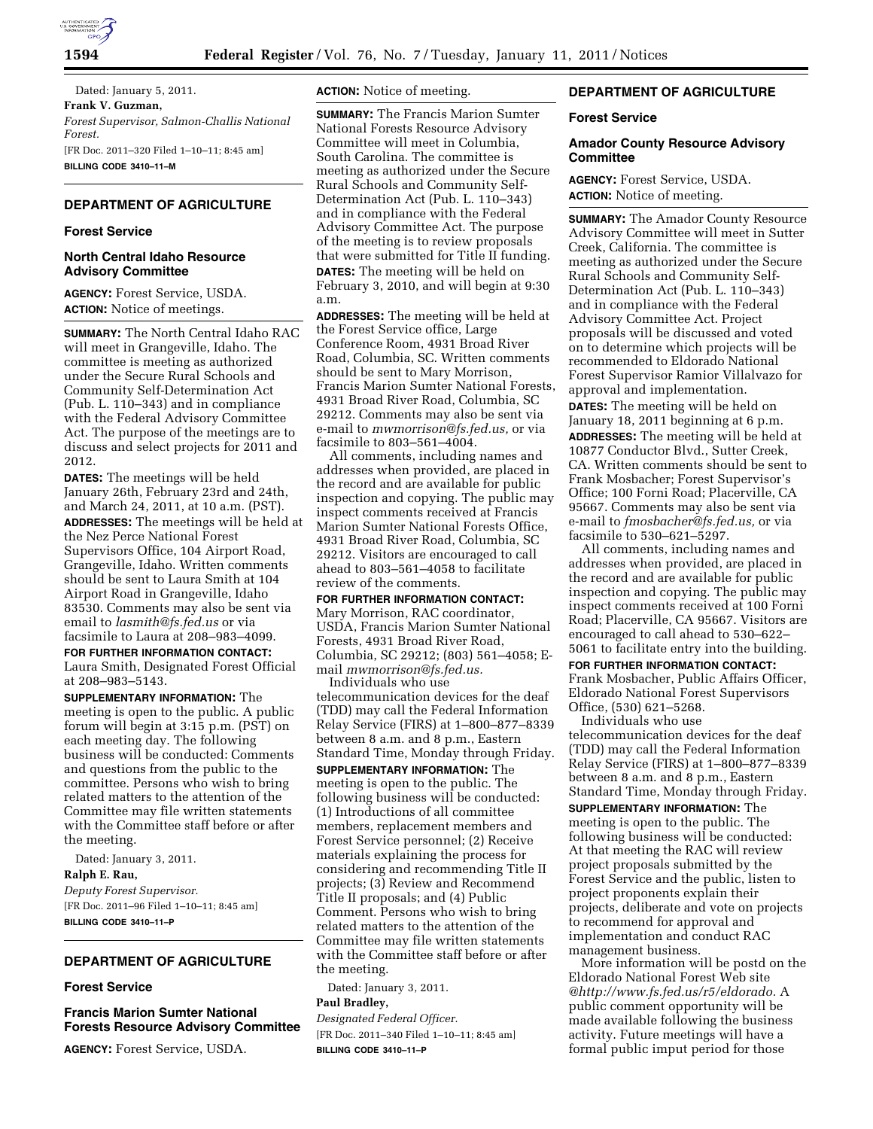

Dated: January 5, 2011. **Frank V. Guzman,**  *Forest Supervisor, Salmon-Challis National Forest.*  [FR Doc. 2011–320 Filed 1–10–11; 8:45 am] **BILLING CODE 3410–11–M** 

# **DEPARTMENT OF AGRICULTURE**

### **Forest Service**

# **North Central Idaho Resource Advisory Committee**

**AGENCY:** Forest Service, USDA. **ACTION:** Notice of meetings.

**SUMMARY:** The North Central Idaho RAC will meet in Grangeville, Idaho. The committee is meeting as authorized under the Secure Rural Schools and Community Self-Determination Act (Pub. L. 110–343) and in compliance with the Federal Advisory Committee Act. The purpose of the meetings are to discuss and select projects for 2011 and 2012.

**DATES:** The meetings will be held January 26th, February 23rd and 24th, and March 24, 2011, at 10 a.m. (PST).

**ADDRESSES:** The meetings will be held at the Nez Perce National Forest Supervisors Office, 104 Airport Road, Grangeville, Idaho. Written comments should be sent to Laura Smith at 104 Airport Road in Grangeville, Idaho 83530. Comments may also be sent via email to *[lasmith@fs.fed.us](mailto:lasmith@fs.fed.us)* or via facsimile to Laura at 208–983–4099.

**FOR FURTHER INFORMATION CONTACT:**  Laura Smith, Designated Forest Official at 208–983–5143.

**SUPPLEMENTARY INFORMATION:** The meeting is open to the public. A public forum will begin at 3:15 p.m. (PST) on each meeting day. The following business will be conducted: Comments and questions from the public to the committee. Persons who wish to bring related matters to the attention of the Committee may file written statements with the Committee staff before or after the meeting.

Dated: January 3, 2011. **Ralph E. Rau,**  *Deputy Forest Supervisor.*  [FR Doc. 2011–96 Filed 1–10–11; 8:45 am] **BILLING CODE 3410–11–P** 

# **DEPARTMENT OF AGRICULTURE**

## **Forest Service**

**Francis Marion Sumter National Forests Resource Advisory Committee** 

**AGENCY:** Forest Service, USDA.

**ACTION:** Notice of meeting.

**SUMMARY:** The Francis Marion Sumter National Forests Resource Advisory Committee will meet in Columbia, South Carolina. The committee is meeting as authorized under the Secure Rural Schools and Community Self-Determination Act (Pub. L. 110–343) and in compliance with the Federal Advisory Committee Act. The purpose of the meeting is to review proposals that were submitted for Title II funding. **DATES:** The meeting will be held on February 3, 2010, and will begin at 9:30 a.m.

**ADDRESSES:** The meeting will be held at the Forest Service office, Large Conference Room, 4931 Broad River Road, Columbia, SC. Written comments should be sent to Mary Morrison, Francis Marion Sumter National Forests, 4931 Broad River Road, Columbia, SC 29212. Comments may also be sent via e-mail to *[mwmorrison@fs.fed.us,](mailto:mwmorrison@fs.fed.us)* or via facsimile to 803–561–4004.

All comments, including names and addresses when provided, are placed in the record and are available for public inspection and copying. The public may inspect comments received at Francis Marion Sumter National Forests Office, 4931 Broad River Road, Columbia, SC 29212. Visitors are encouraged to call ahead to 803–561–4058 to facilitate review of the comments.

#### **FOR FURTHER INFORMATION CONTACT:**

Mary Morrison, RAC coordinator, USDA, Francis Marion Sumter National Forests, 4931 Broad River Road, Columbia, SC 29212; (803) 561–4058; Email *[mwmorrison@fs.fed.us.](mailto:mwmorrison@fs.fed.us)*  Individuals who use

telecommunication devices for the deaf (TDD) may call the Federal Information Relay Service (FIRS) at 1–800–877–8339 between 8 a.m. and 8 p.m., Eastern Standard Time, Monday through Friday. **SUPPLEMENTARY INFORMATION:** The meeting is open to the public. The following business will be conducted: (1) Introductions of all committee members, replacement members and Forest Service personnel; (2) Receive materials explaining the process for considering and recommending Title II projects; (3) Review and Recommend Title II proposals; and (4) Public Comment. Persons who wish to bring related matters to the attention of the Committee may file written statements with the Committee staff before or after the meeting.

Dated: January 3, 2011.

#### **Paul Bradley,**

*Designated Federal Officer.* 

[FR Doc. 2011–340 Filed 1–10–11; 8:45 am] **BILLING CODE 3410–11–P** 

## **DEPARTMENT OF AGRICULTURE**

#### **Forest Service**

### **Amador County Resource Advisory Committee**

**AGENCY:** Forest Service, USDA. **ACTION:** Notice of meeting.

**SUMMARY:** The Amador County Resource Advisory Committee will meet in Sutter Creek, California. The committee is meeting as authorized under the Secure Rural Schools and Community Self-Determination Act (Pub. L. 110–343) and in compliance with the Federal Advisory Committee Act. Project proposals will be discussed and voted on to determine which projects will be recommended to Eldorado National Forest Supervisor Ramior Villalvazo for approval and implementation. **DATES:** The meeting will be held on January 18, 2011 beginning at 6 p.m. **ADDRESSES:** The meeting will be held at 10877 Conductor Blvd., Sutter Creek, CA. Written comments should be sent to Frank Mosbacher; Forest Supervisor's Office; 100 Forni Road; Placerville, CA 95667. Comments may also be sent via e-mail to *[fmosbacher@fs.fed.us,](mailto:fmosbacher@fs.fed.us)* or via facsimile to 530–621–5297.

All comments, including names and addresses when provided, are placed in the record and are available for public inspection and copying. The public may inspect comments received at 100 Forni Road; Placerville, CA 95667. Visitors are encouraged to call ahead to 530–622– 5061 to facilitate entry into the building. **FOR FURTHER INFORMATION CONTACT:**  Frank Mosbacher, Public Affairs Officer, Eldorado National Forest Supervisors Office, (530) 621–5268. Individuals who use

telecommunication devices for the deaf (TDD) may call the Federal Information Relay Service (FIRS) at 1–800–877–8339 between 8 a.m. and 8 p.m., Eastern Standard Time, Monday through Friday. **SUPPLEMENTARY INFORMATION:** The meeting is open to the public. The following business will be conducted: At that meeting the RAC will review project proposals submitted by the Forest Service and the public, listen to project proponents explain their projects, deliberate and vote on projects to recommend for approval and implementation and conduct RAC management business.

More information will be postd on the Eldorado National Forest Web site *@[http://www.fs.fed.us/r5/eldorado.](http://www.fs.fed.us/r5/eldorado)* A public comment opportunity will be made available following the business activity. Future meetings will have a formal public imput period for those